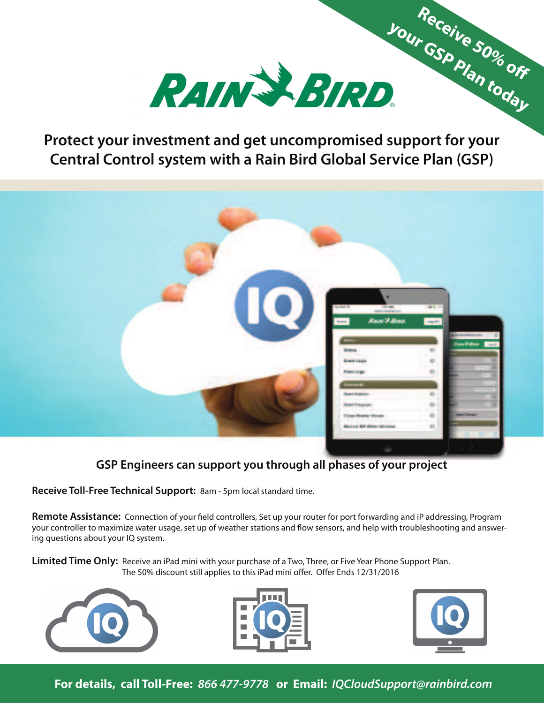

**Protect your investment and get uncompromised support for your Central Control system with a Rain Bird Global Service Plan (GSP)**



**GSP Engineers can support you through all phases of your project**

**Receive Toll-Free Technical Support:** 8am - 5pm local standard time.

**Remote Assistance:** Connection of your field controllers, Set up your router for port forwarding and iP addressing, Program your controller to maximize water usage, set up of weather stations and flow sensors, and help with troubleshooting and answering questions about your IQ system.

The 50% discount still applies to this iPad mini offer. Offer Ends 12/31/2016 **Limited Time Only:** Receive an iPad mini with your purchase of a Two, Three, or Five Year Phone Support Plan.







 Receive 50% off

**For details, call Toll-Free: 866 477-9778 or Email: IQCloudSupport@rainbird.com**